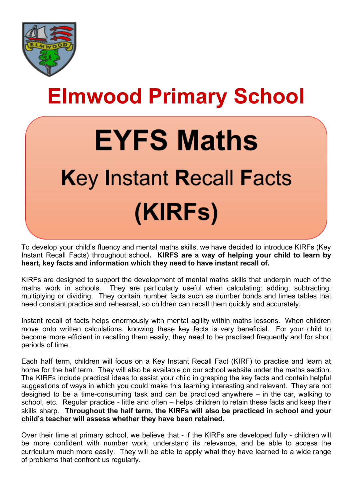

## **Elmwood Primary School**

# **EYFS Maths** Key Instant Recall Facts (KIRFs)

To develop your child's fluency and mental maths skills, we have decided to introduce KIRFs (Key Instant Recall Facts) throughout school**. KIRFS are a way of helping your child to learn by heart, key facts and information which they need to have instant recall of.**

KIRFs are designed to support the development of mental maths skills that underpin much of the maths work in schools. They are particularly useful when calculating: adding; subtracting; multiplying or dividing. They contain number facts such as number bonds and times tables that need constant practice and rehearsal, so children can recall them quickly and accurately.

Instant recall of facts helps enormously with mental agility within maths lessons. When children move onto written calculations, knowing these key facts is very beneficial. For your child to become more efficient in recalling them easily, they need to be practised frequently and for short periods of time.

Each half term, children will focus on a Key Instant Recall Fact (KIRF) to practise and learn at home for the half term. They will also be available on our school website under the maths section. The KIRFs include practical ideas to assist your child in grasping the key facts and contain helpful suggestions of ways in which you could make this learning interesting and relevant. They are not designed to be a time-consuming task and can be practiced anywhere – in the car, walking to school, etc. Regular practice - little and often – helps children to retain these facts and keep their skills sharp. **Throughout the half term, the KIRFs will also be practiced in school and your child's teacher will assess whether they have been retained.**

Over their time at primary school, we believe that - if the KIRFs are developed fully - children will be more confident with number work, understand its relevance, and be able to access the curriculum much more easily. They will be able to apply what they have learned to a wide range of problems that confront us regularly.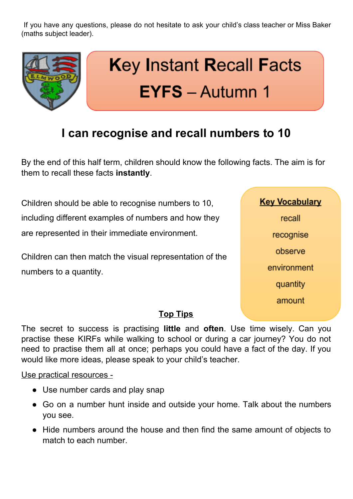If you have any questions, please do not hesitate to ask your child's class teacher or Miss Baker (maths subject leader).



## **I can recognise and recall numbers to 10**

By the end of this half term, children should know the following facts. The aim is for them to recall these facts **instantly**.

Children should be able to recognise numbers to 10, including different examples of numbers and how they are represented in their immediate environment.

Children can then match the visual representation of the numbers to a quantity.

**Key Vocabulary** recall recognise observe environment quantity amount

### **Top Tips**

The secret to success is practising **little** and **often**. Use time wisely. Can you practise these KIRFs while walking to school or during a car journey? You do not need to practise them all at once; perhaps you could have a fact of the day. If you would like more ideas, please speak to your child's teacher.

#### Use practical resources -

- Use number cards and play snap
- Go on a number hunt inside and outside your home. Talk about the numbers you see.
- Hide numbers around the house and then find the same amount of objects to match to each number.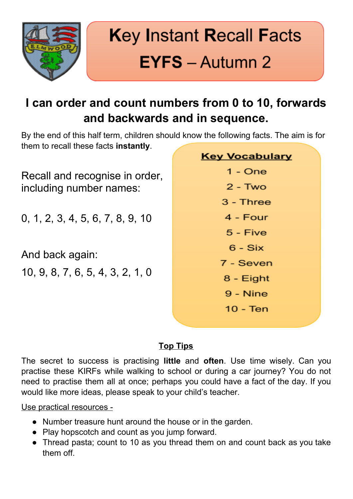

## **I can order and count numbers from 0 to 10, forwards and backwards and in sequence.**

By the end of this half term, children should know the following facts. The aim is for them to recall these facts **instantly**.

Recall and recognise in order, including number names:

0, 1, 2, 3, 4, 5, 6, 7, 8, 9, 10

And back again:

10, 9, 8, 7, 6, 5, 4, 3, 2, 1, 0

| <b>Key Vocabulary</b> |
|-----------------------|
| 1 - One               |
| $2 - Two$             |
| 3 - Three             |
| 4 - Four              |
| 5 - Five              |
| $6 - Six$             |
| 7 - Seven             |
| 8 - Eight             |
| 9 - Nine              |
| 10 - Ten              |
|                       |

### **Top Tips**

The secret to success is practising **little** and **often**. Use time wisely. Can you practise these KIRFs while walking to school or during a car journey? You do not need to practise them all at once; perhaps you could have a fact of the day. If you would like more ideas, please speak to your child's teacher.

Use practical resources -

- Number treasure hunt around the house or in the garden.
- Play hopscotch and count as you jump forward.
- Thread pasta; count to 10 as you thread them on and count back as you take them off.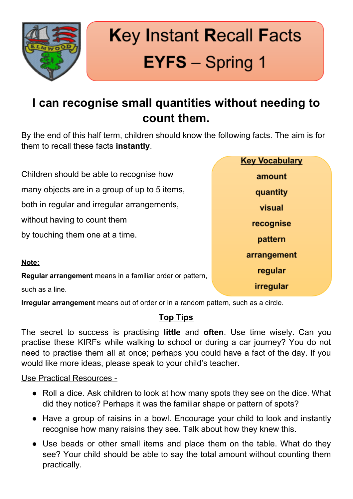

## **Key Instant Recall Facts EYFS** - Spring 1

## **I can recognise small quantities without needing to count them.**

By the end of this half term, children should know the following facts. The aim is for them to recall these facts **instantly**.

Children should be able to recognise how many objects are in a group of up to 5 items, both in regular and irregular arrangements, without having to count them by touching them one at a time. **Note:**

**Regular arrangement** means in a familiar order or pattern,

such as a line.

**Irregular arrangement** means out of order or in a random pattern, such as a circle.

### **Top Tips**

The secret to success is practising **little** and **often**. Use time wisely. Can you practise these KIRFs while walking to school or during a car journey? You do not need to practise them all at once; perhaps you could have a fact of the day. If you would like more ideas, please speak to your child's teacher.

#### Use Practical Resources -

- Roll a dice. Ask children to look at how many spots they see on the dice. What did they notice? Perhaps it was the familiar shape or pattern of spots?
- Have a group of raisins in a bowl. Encourage your child to look and instantly recognise how many raisins they see. Talk about how they knew this.
- Use beads or other small items and place them on the table. What do they see? Your child should be able to say the total amount without counting them practically.

| <b>Key Vocabulary</b> |
|-----------------------|
| amount                |
| quantity              |
| visual                |
| recognise             |
| pattern               |
| arrangement           |
| regular               |
| irregular             |
|                       |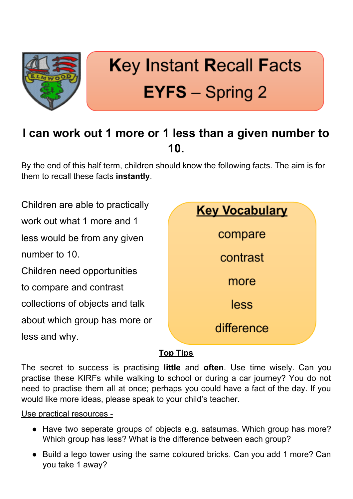

## **Key Instant Recall Facts EYFS** – Spring 2

## **I can work out 1 more or 1 less than a given number to 10.**

By the end of this half term, children should know the following facts. The aim is for them to recall these facts **instantly**.

Children are able to practically work out what 1 more and 1 less would be from any given number to 10. Children need opportunities to compare and contrast collections of objects and talk about which group has more or less and why.



### **Top Tips**

The secret to success is practising **little** and **often**. Use time wisely. Can you practise these KIRFs while walking to school or during a car journey? You do not need to practise them all at once; perhaps you could have a fact of the day. If you would like more ideas, please speak to your child's teacher.

Use practical resources -

- Have two seperate groups of objects e.g. satsumas. Which group has more? Which group has less? What is the difference between each group?
- Build a lego tower using the same coloured bricks. Can you add 1 more? Can you take 1 away?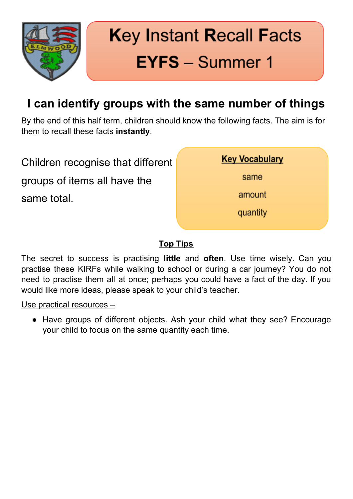

## **Key Instant Recall Facts EYFS** - Summer 1

## **I can identify groups with the same number of things**

By the end of this half term, children should know the following facts. The aim is for them to recall these facts **instantly**.

Children recognise that different groups of items all have the same total.



### **Top Tips**

The secret to success is practising **little** and **often**. Use time wisely. Can you practise these KIRFs while walking to school or during a car journey? You do not need to practise them all at once; perhaps you could have a fact of the day. If you would like more ideas, please speak to your child's teacher.

#### Use practical resources –

• Have groups of different objects. Ash your child what they see? Encourage your child to focus on the same quantity each time.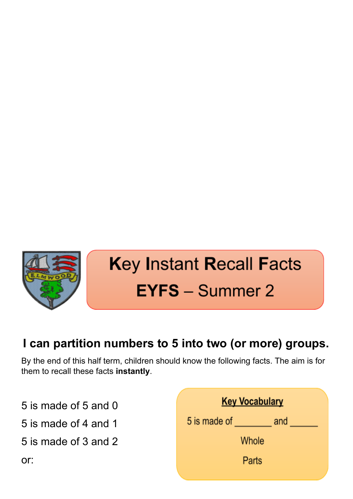

## **Key Instant Recall Facts EYFS** - Summer 2

## **I can partition numbers to 5 into two (or more) groups.**

By the end of this half term, children should know the following facts. The aim is for them to recall these facts **instantly**.

5 is made of 5 and 0

5 is made of 4 and 1

5 is made of 3 and 2

**Key Vocabulary** 5 is made of \_\_\_\_\_\_\_\_\_\_\_ and \_\_\_\_ Whole Parts

or: